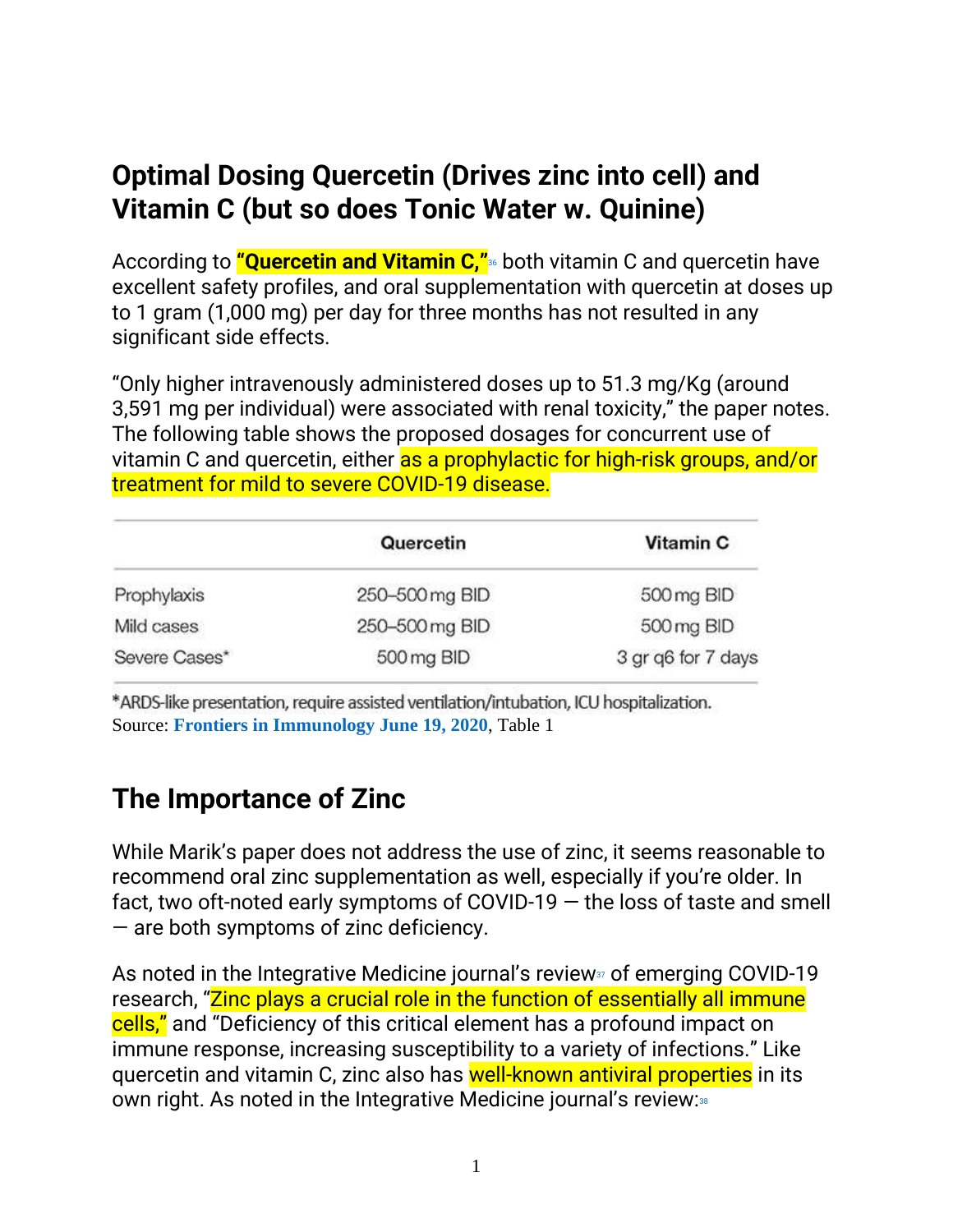## **Optimal Dosing Quercetin (Drives zinc into cell) and Vitamin C (but so does Tonic Water w. Quinine)**

According to **"Quercetin and Vitamin C,"**<sup>36</sup> both vitamin C and quercetin have excellent safety profiles, and oral supplementation with quercetin at doses up to 1 gram (1,000 mg) per day for three months has not resulted in any significant side effects.

"Only higher intravenously administered doses up to 51.3 mg/Kg (around 3,591 mg per individual) were associated with renal toxicity," the paper notes. The following table shows the proposed dosages for concurrent use of vitamin C and quercetin, either as a prophylactic for high-risk groups, and/or treatment for mild to severe COVID-19 disease.

|                             | Quercetin      | Vitamin C          |  |
|-----------------------------|----------------|--------------------|--|
| Prophylaxis                 | 250-500 mg BID | 500 mg BID         |  |
| Mild cases                  | 250-500 mg BID | 500 mg BID         |  |
| Severe Cases*<br>500 mg BID |                | 3 gr q6 for 7 days |  |

\*ARDS-like presentation, require assisted ventilation/intubation, ICU hospitalization. Source: **[Frontiers in Immunology June 19, 2020](https://www.frontiersin.org/articles/10.3389/fimmu.2020.01451/full)**, Table 1

## **The Importance of Zinc**

While Marik's paper does not address the use of zinc, it seems reasonable to recommend oral zinc supplementation as well, especially if you're older. In fact, two oft-noted early symptoms of COVID-19 — the loss of taste and smell — are both symptoms of zinc deficiency.

As noted in the Integrative Medicine journal's review<sub>37</sub> of emerging COVID-19 research, "Zinc plays a crucial role in the function of essentially all immune cells," and "Deficiency of this critical element has a profound impact on immune response, increasing susceptibility to a variety of infections." Like quercetin and vitamin C, zinc also has well-known antiviral properties in its own right. As noted in the Integrative Medicine journal's review:38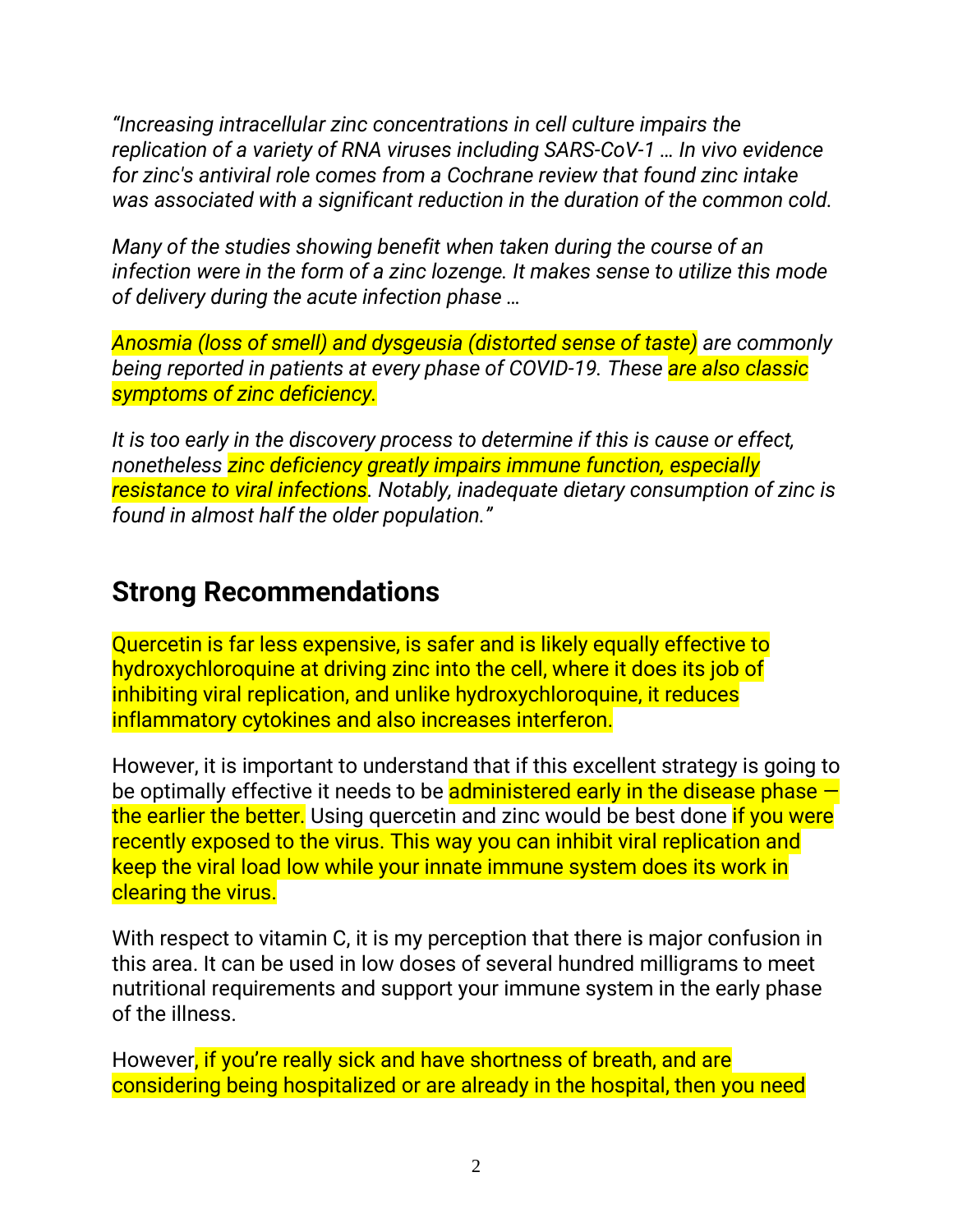*"Increasing intracellular zinc concentrations in cell culture impairs the replication of a variety of RNA viruses including SARS-CoV-1 … In vivo evidence for zinc's antiviral role comes from a Cochrane review that found zinc intake was associated with a significant reduction in the duration of the common cold.*

*Many of the studies showing benefit when taken during the course of an infection were in the form of a zinc lozenge. It makes sense to utilize this mode of delivery during the acute infection phase …*

*Anosmia (loss of smell) and dysgeusia (distorted sense of taste) are commonly being reported in patients at every phase of COVID-19. These are also classic symptoms of zinc deficiency.*

*It is too early in the discovery process to determine if this is cause or effect, nonetheless zinc deficiency greatly impairs immune function, especially resistance to viral infections. Notably, inadequate dietary consumption of zinc is found in almost half the older population."*

### **Strong Recommendations**

Quercetin is far less expensive, is safer and is likely equally effective to hydroxychloroquine at driving zinc into the cell, where it does its job of inhibiting viral replication, and unlike hydroxychloroquine, it reduces inflammatory cytokines and also increases interferon.

However, it is important to understand that if this excellent strategy is going to be optimally effective it needs to be **administered early in the disease phase**  $$ the earlier the better. Using quercetin and zinc would be best done if you were recently exposed to the virus. This way you can inhibit viral replication and keep the viral load low while your innate immune system does its work in clearing the virus.

With respect to vitamin C, it is my perception that there is major confusion in this area. It can be used in low doses of several hundred milligrams to meet nutritional requirements and support your immune system in the early phase of the illness.

However, if you're really sick and have shortness of breath, and are considering being hospitalized or are already in the hospital, then you need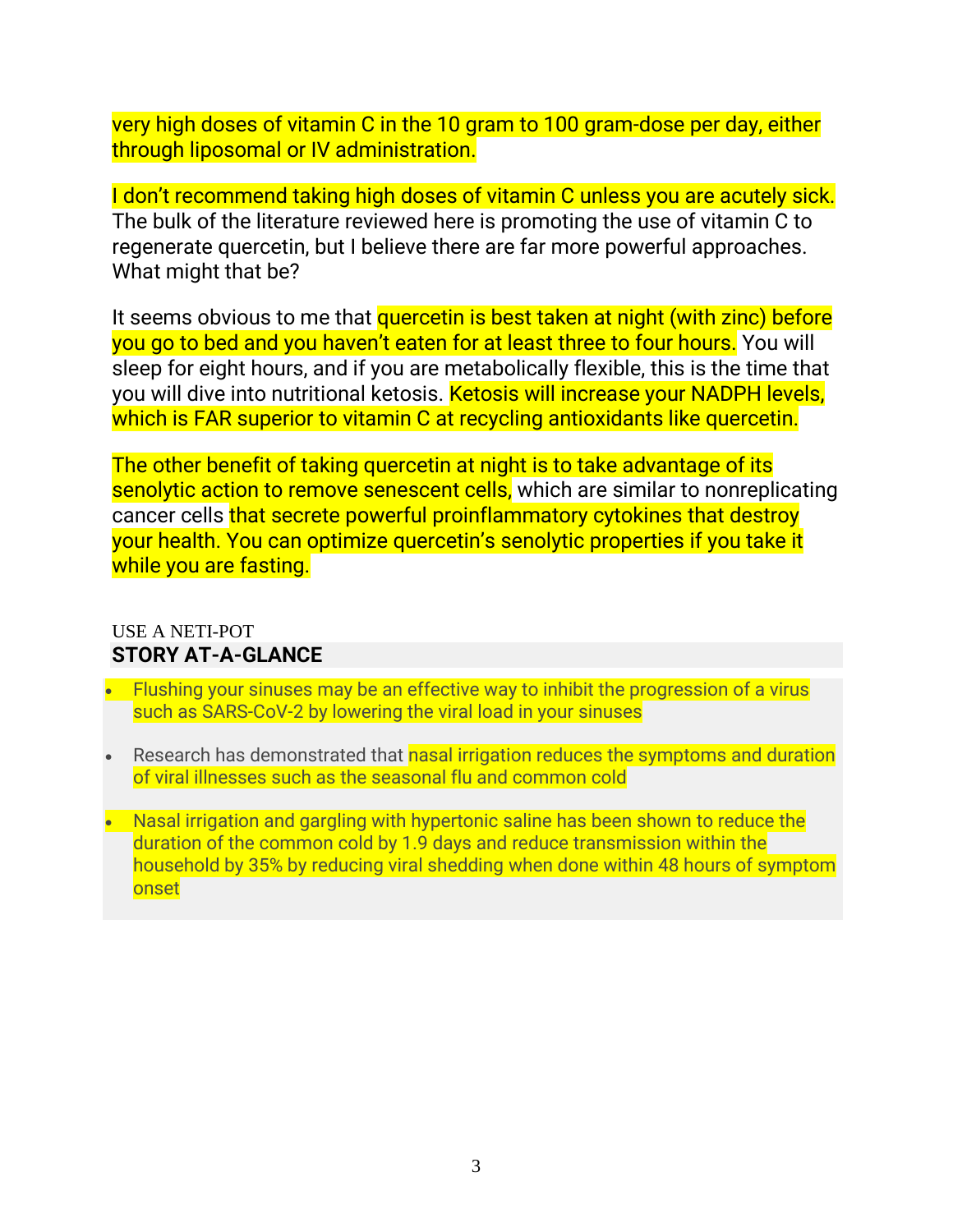very high doses of vitamin C in the 10 gram to 100 gram-dose per day, either through liposomal or IV administration.

I don't recommend taking high doses of vitamin C unless you are acutely sick. The bulk of the literature reviewed here is promoting the use of vitamin C to regenerate quercetin, but I believe there are far more powerful approaches. What might that be?

It seems obvious to me that quercetin is best taken at night (with zinc) before you go to bed and you haven't eaten for at least three to four hours. You will sleep for eight hours, and if you are metabolically flexible, this is the time that you will dive into nutritional ketosis. Ketosis will increase your NADPH levels, which is FAR superior to vitamin C at recycling antioxidants like quercetin.

The other benefit of taking quercetin at night is to take advantage of its senolytic action to remove senescent cells, which are similar to nonreplicating cancer cells that secrete powerful proinflammatory cytokines that destroy your health. You can optimize quercetin's senolytic properties if you take it while you are fasting.

#### USE A NETI-POT **STORY AT-A-GLANCE**

- Flushing your sinuses may be an effective way to inhibit the progression of a virus such as SARS-CoV-2 by lowering the viral load in your sinuses
- Research has demonstrated that nasal irrigation reduces the symptoms and duration of viral illnesses such as the seasonal flu and common cold
- Nasal irrigation and gargling with hypertonic saline has been shown to reduce the duration of the common cold by 1.9 days and reduce transmission within the household by 35% by reducing viral shedding when done within 48 hours of symptom **onset**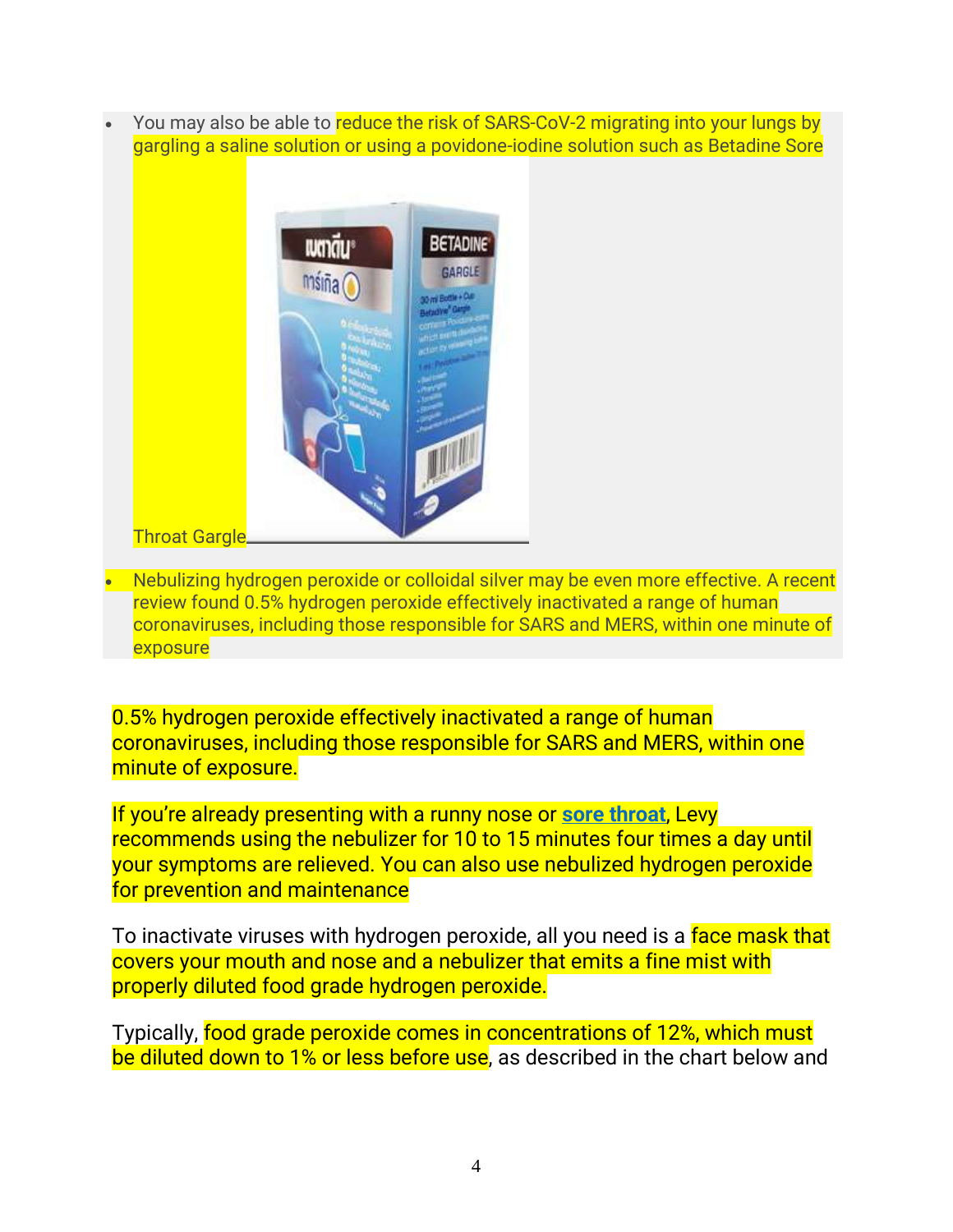You may also be able to reduce the risk of SARS-CoV-2 migrating into your lungs by gargling a saline solution or using a povidone-iodine solution such as Betadine Sore



• Nebulizing hydrogen peroxide or colloidal silver may be even more effective. A recent review found 0.5% hydrogen peroxide effectively inactivated a range of human coronaviruses, including those responsible for SARS and MERS, within one minute of exposure

0.5% hydrogen peroxide effectively inactivated a range of human coronaviruses, including those responsible for SARS and MERS, within one minute of exposure.

If you're already presenting with a runny nose or **[sore throat](https://articles.mercola.com/sites/articles/archive/2020/03/16/sore-throat-natural-remedies.aspx)**, Levy recommends using the nebulizer for 10 to 15 minutes four times a day until your symptoms are relieved. You can also use nebulized hydrogen peroxide for prevention and maintenance

To inactivate viruses with hydrogen peroxide, all you need is a face mask that covers your mouth and nose and a nebulizer that emits a fine mist with properly diluted food grade hydrogen peroxide.

Typically, food grade peroxide comes in concentrations of 12%, which must be diluted down to 1% or less before use, as described in the chart below and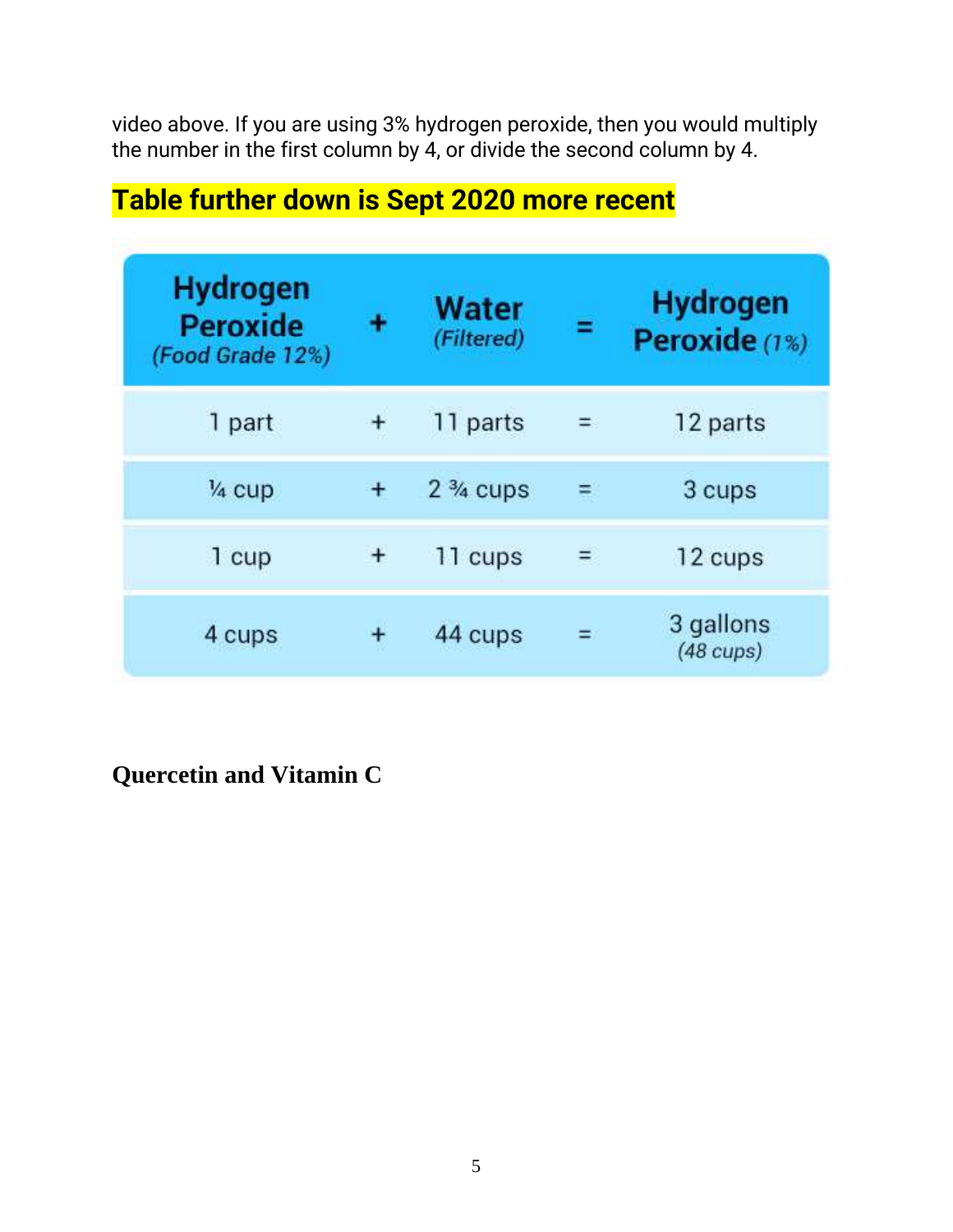video above. If you are using 3% hydrogen peroxide, then you would multiply the number in the first column by 4, or divide the second column by 4.

| <b>Hydrogen</b><br><b>Peroxide</b><br>(Food Grade 12%) |   | Water<br>(Filtered) |     | <b>Hydrogen</b><br>Peroxide (1%) |
|--------------------------------------------------------|---|---------------------|-----|----------------------------------|
| 1 part                                                 | + | 11 parts            | $=$ | 12 parts                         |
| 1/ <sub>4</sub> cup                                    |   | $2\frac{3}{4}$ cups | Ξ   | 3 cups                           |
| 1 cup                                                  |   | 11 cups             | $=$ | 12 cups                          |
| 4 cups                                                 |   | 44 cups             |     | 3 gallons<br>$(48 \text{ cups})$ |

# **Table further down is Sept 2020 more recent**

**Quercetin and Vitamin C**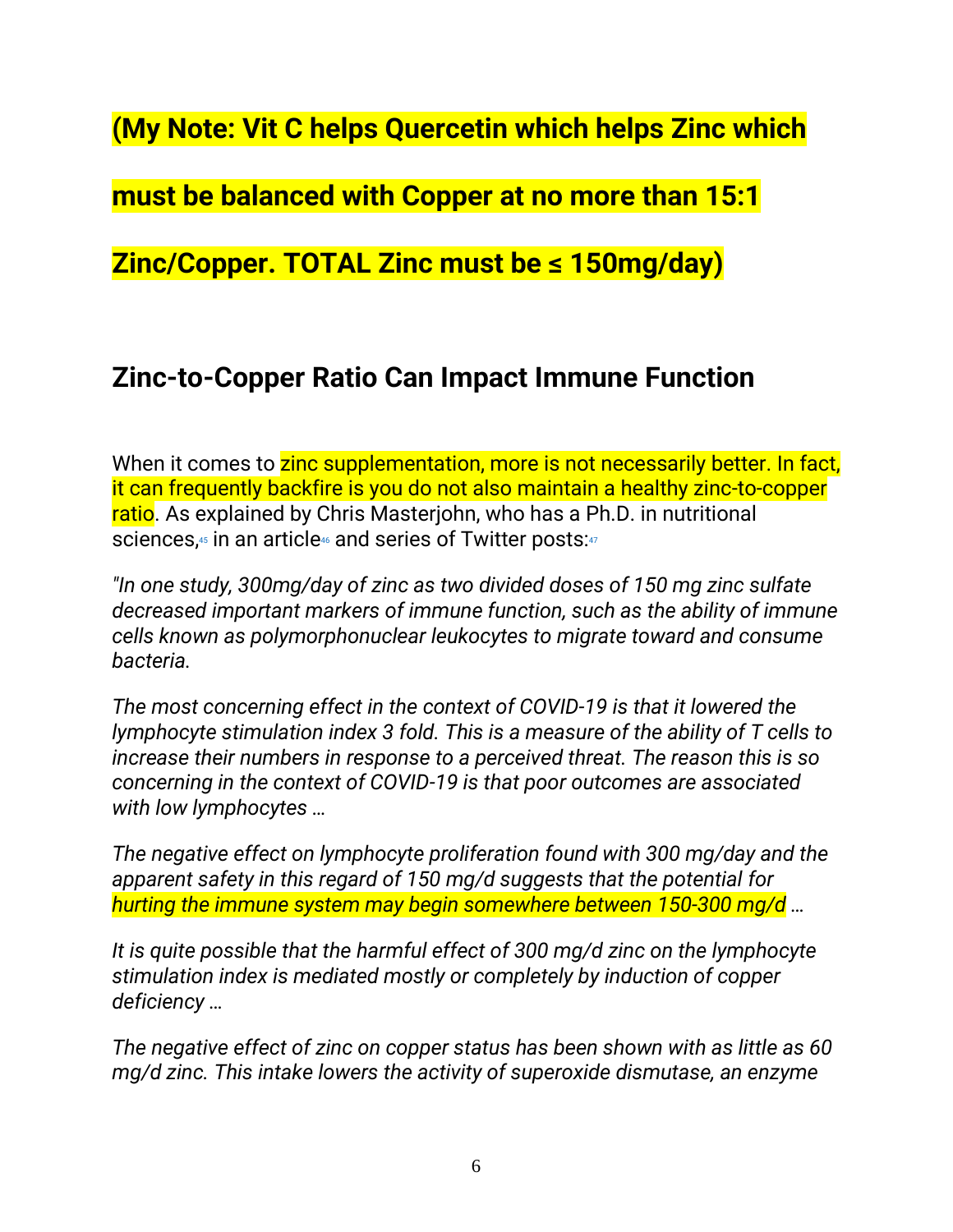**(My Note: Vit C helps Quercetin which helps Zinc which** 

**must be balanced with Copper at no more than 15:1** 

**Zinc/Copper. TOTAL Zinc must be ≤ 150mg/day)**

### **Zinc-to-Copper Ratio Can Impact Immune Function**

When it comes to zinc supplementation, more is not necessarily better. In fact, it can frequently backfire is you do not also maintain a healthy zinc-to-copper ratio. As explained by Chris Masterjohn, who has a Ph.D. in nutritional sciences,<sup>45</sup> in an article<sup>46</sup> and series of Twitter posts:<sup>47</sup>

*"In one study, 300mg/day of zinc as two divided doses of 150 mg zinc sulfate decreased important markers of immune function, such as the ability of immune cells known as polymorphonuclear leukocytes to migrate toward and consume bacteria.*

*The most concerning effect in the context of COVID-19 is that it lowered the lymphocyte stimulation index 3 fold. This is a measure of the ability of T cells to increase their numbers in response to a perceived threat. The reason this is so concerning in the context of COVID-19 is that poor outcomes are associated with low lymphocytes …*

*The negative effect on lymphocyte proliferation found with 300 mg/day and the apparent safety in this regard of 150 mg/d suggests that the potential for hurting the immune system may begin somewhere between 150-300 mg/d …*

*It is quite possible that the harmful effect of 300 mg/d zinc on the lymphocyte stimulation index is mediated mostly or completely by induction of copper deficiency …*

*The negative effect of zinc on copper status has been shown with as little as 60 mg/d zinc. This intake lowers the activity of superoxide dismutase, an enzyme*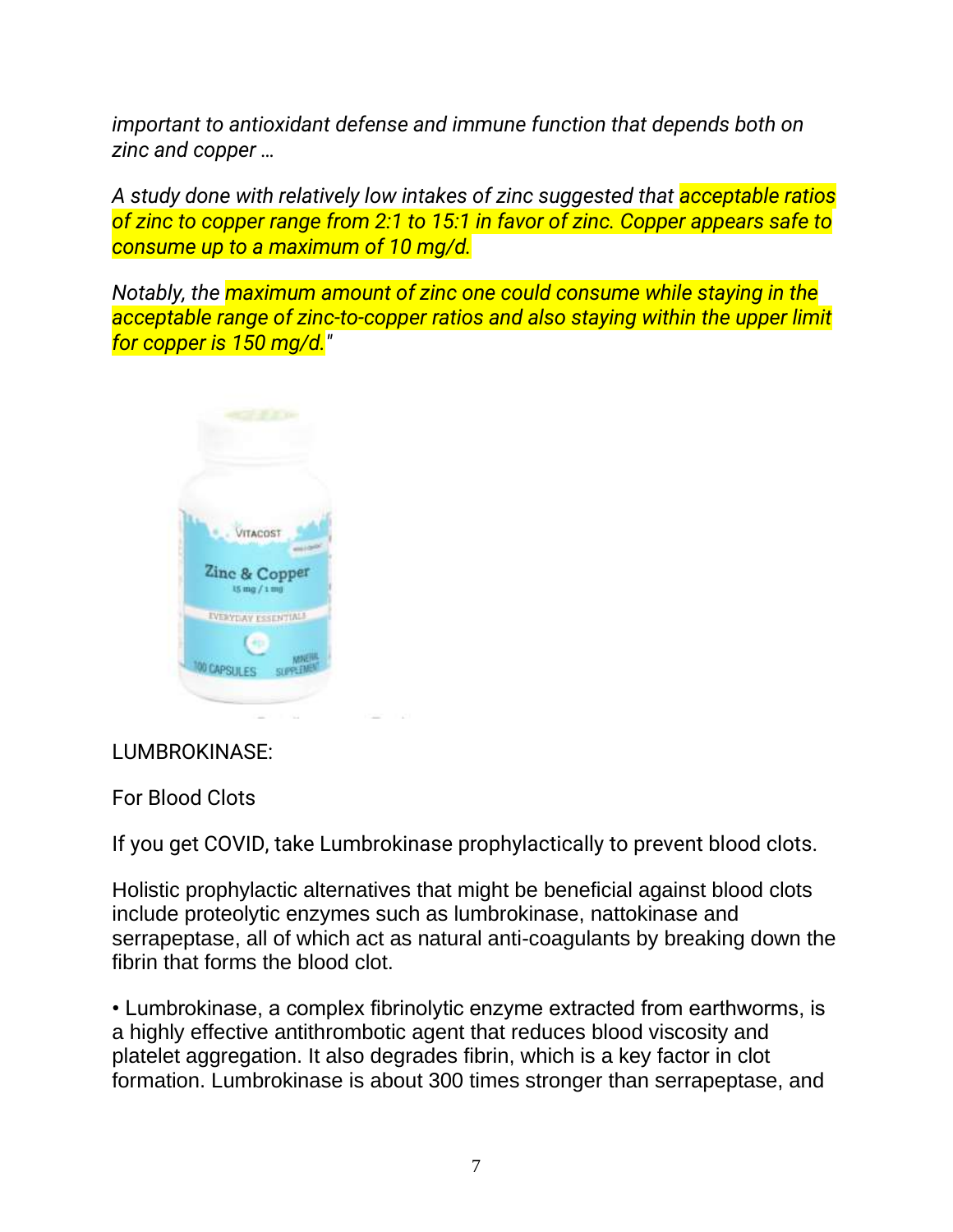*important to antioxidant defense and immune function that depends both on zinc and copper …*

*A study done with relatively low intakes of zinc suggested that acceptable ratios of zinc to copper range from 2:1 to 15:1 in favor of zinc. Copper appears safe to consume up to a maximum of 10 mg/d.*

*Notably, the maximum amount of zinc one could consume while staying in the acceptable range of zinc-to-copper ratios and also staying within the upper limit for copper is 150 mg/d."*



#### LUMBROKINASE:

For Blood Clots

If you get COVID, take Lumbrokinase prophylactically to prevent blood clots.

Holistic prophylactic alternatives that might be beneficial against blood clots include proteolytic enzymes such as lumbrokinase, nattokinase and serrapeptase, all of which act as natural anti-coagulants by breaking down the fibrin that forms the blood clot.

• Lumbrokinase, a complex fibrinolytic enzyme extracted from earthworms, is a highly effective antithrombotic agent that reduces blood viscosity and platelet aggregation. It also degrades fibrin, which is a key factor in clot formation. Lumbrokinase is about 300 times stronger than serrapeptase, and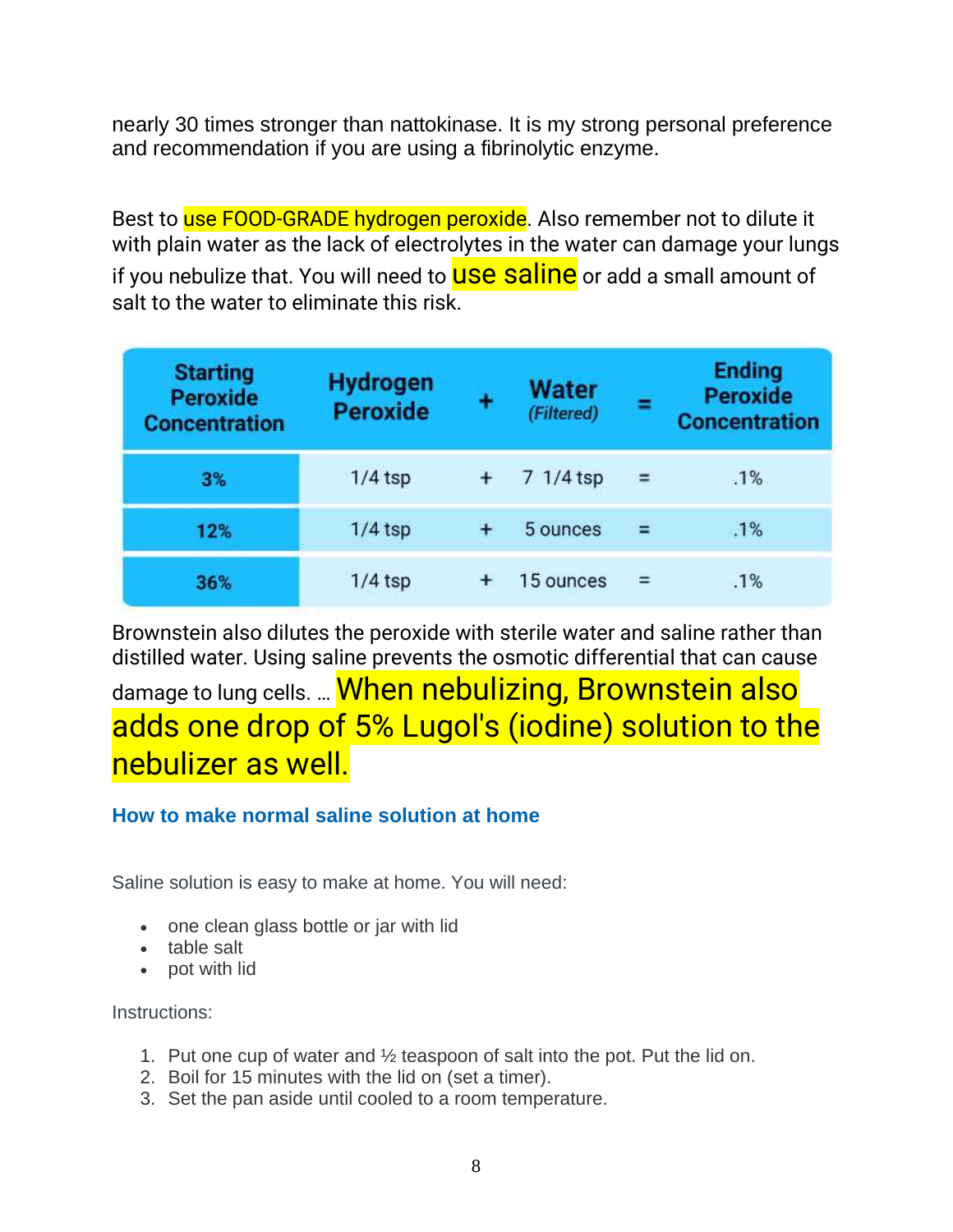nearly 30 times stronger than nattokinase. It is my strong personal preference and recommendation if you are using a fibrinolytic enzyme.

Best to use FOOD-GRADE hydrogen peroxide. Also remember not to dilute it with plain water as the lack of electrolytes in the water can damage your lungs if you nebulize that. You will need to **USE Saline** or add a small amount of salt to the water to eliminate this risk.

| <b>Starting</b><br><b>Peroxide</b><br><b>Concentration</b> | <b>Hydrogen</b><br><b>Peroxide</b> | ٠     | Water<br>(Filtered) | ≕   | <b>Ending</b><br><b>Peroxide</b><br><b>Concentration</b> |
|------------------------------------------------------------|------------------------------------|-------|---------------------|-----|----------------------------------------------------------|
| 3%                                                         | $1/4$ tsp                          |       | 7 1/4 tsp           | $=$ | .1%                                                      |
| 12%                                                        | $1/4$ tsp                          | $+$   | 5 ounces            | $=$ | .1%                                                      |
| 36%                                                        | $1/4$ tsp                          | $\pm$ | 15 ounces           | $=$ | .1%                                                      |

Brownstein also dilutes the peroxide with sterile water and saline rather than distilled water. Using saline prevents the osmotic differential that can cause

damage to lung cells. ... **When nebulizing, Brownstein also** adds one drop of 5% Lugol's (iodine) solution to the nebulizer as well.

#### **How to make normal saline solution at home**

Saline solution is easy to make at home. You will need:

- one clean glass bottle or jar with lid
- table salt
- pot with lid

Instructions:

- 1. Put one cup of water and ½ teaspoon of salt into the pot. Put the lid on.
- 2. Boil for 15 minutes with the lid on (set a timer).
- 3. Set the pan aside until cooled to a room temperature.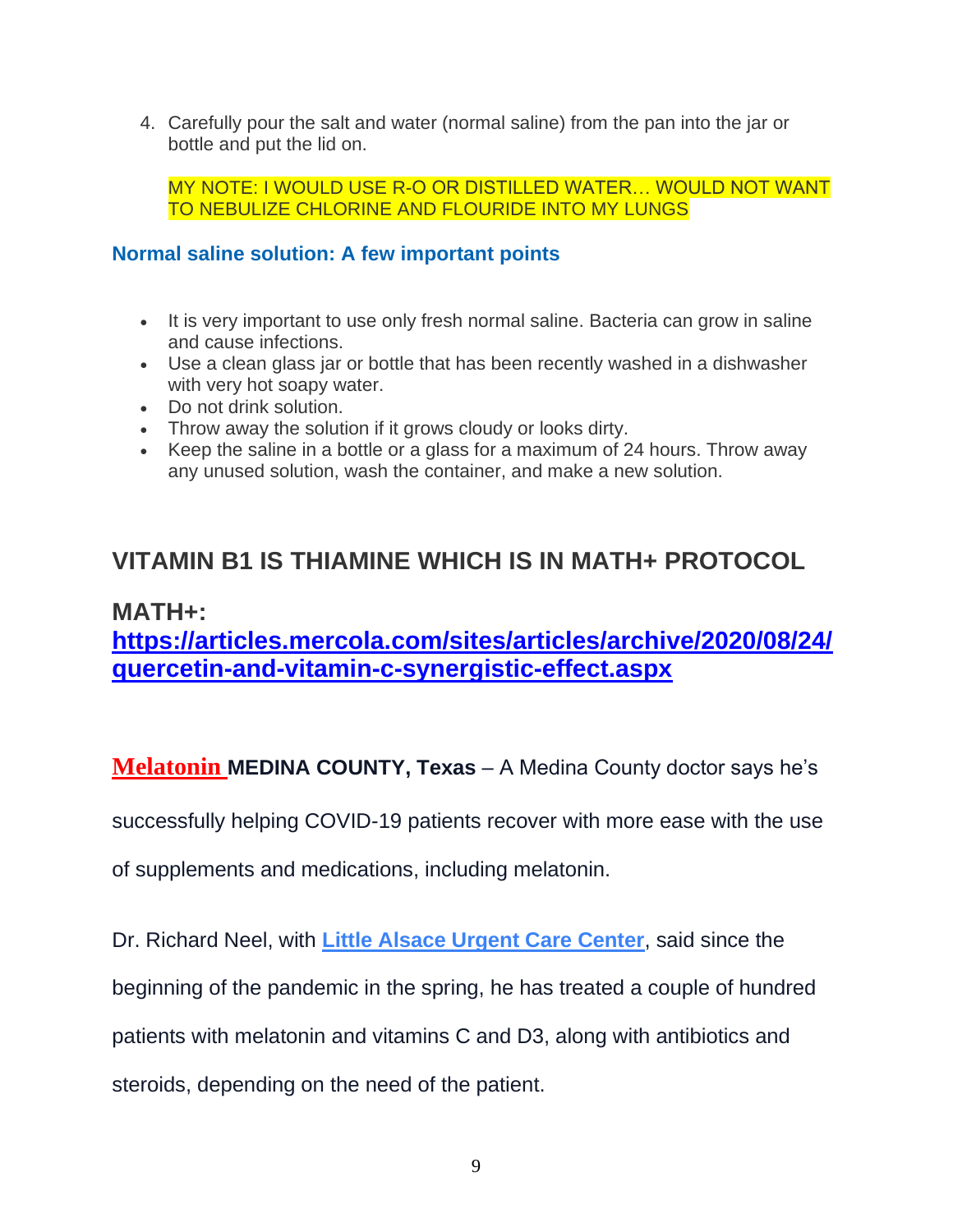4. Carefully pour the salt and water (normal saline) from the pan into the jar or bottle and put the lid on.

MY NOTE: I WOULD USE R-O OR DISTILLED WATER… WOULD NOT WANT TO NEBULIZE CHLORINE AND FLOURIDE INTO MY LUNGS

#### **Normal saline solution: A few important points**

- It is very important to use only fresh normal saline. Bacteria can grow in saline and cause infections.
- Use a clean glass jar or bottle that has been recently washed in a dishwasher with very hot soapy water.
- Do not drink solution.
- Throw away the solution if it grows cloudy or looks dirty.
- Keep the saline in a bottle or a glass for a maximum of 24 hours. Throw away any unused solution, wash the container, and make a new solution.

### **VITAMIN B1 IS THIAMINE WHICH IS IN MATH+ PROTOCOL**

### **MATH+: [https://articles.mercola.com/sites/articles/archive/2020/08/24/](https://articles.mercola.com/sites/articles/archive/2020/08/24/quercetin-and-vitamin-c-synergistic-effect.aspx) [quercetin-and-vitamin-c-synergistic-effect.aspx](https://articles.mercola.com/sites/articles/archive/2020/08/24/quercetin-and-vitamin-c-synergistic-effect.aspx)**

**Melatonin MEDINA COUNTY, Texas** – A Medina County doctor says he's

successfully helping COVID-19 patients recover with more ease with the use

of supplements and medications, including melatonin.

Dr. Richard Neel, with **[Little Alsace Urgent Care Center](http://www.littlealsace.com/?page_id=10)**, said since the beginning of the pandemic in the spring, he has treated a couple of hundred patients with melatonin and vitamins C and D3, along with antibiotics and steroids, depending on the need of the patient.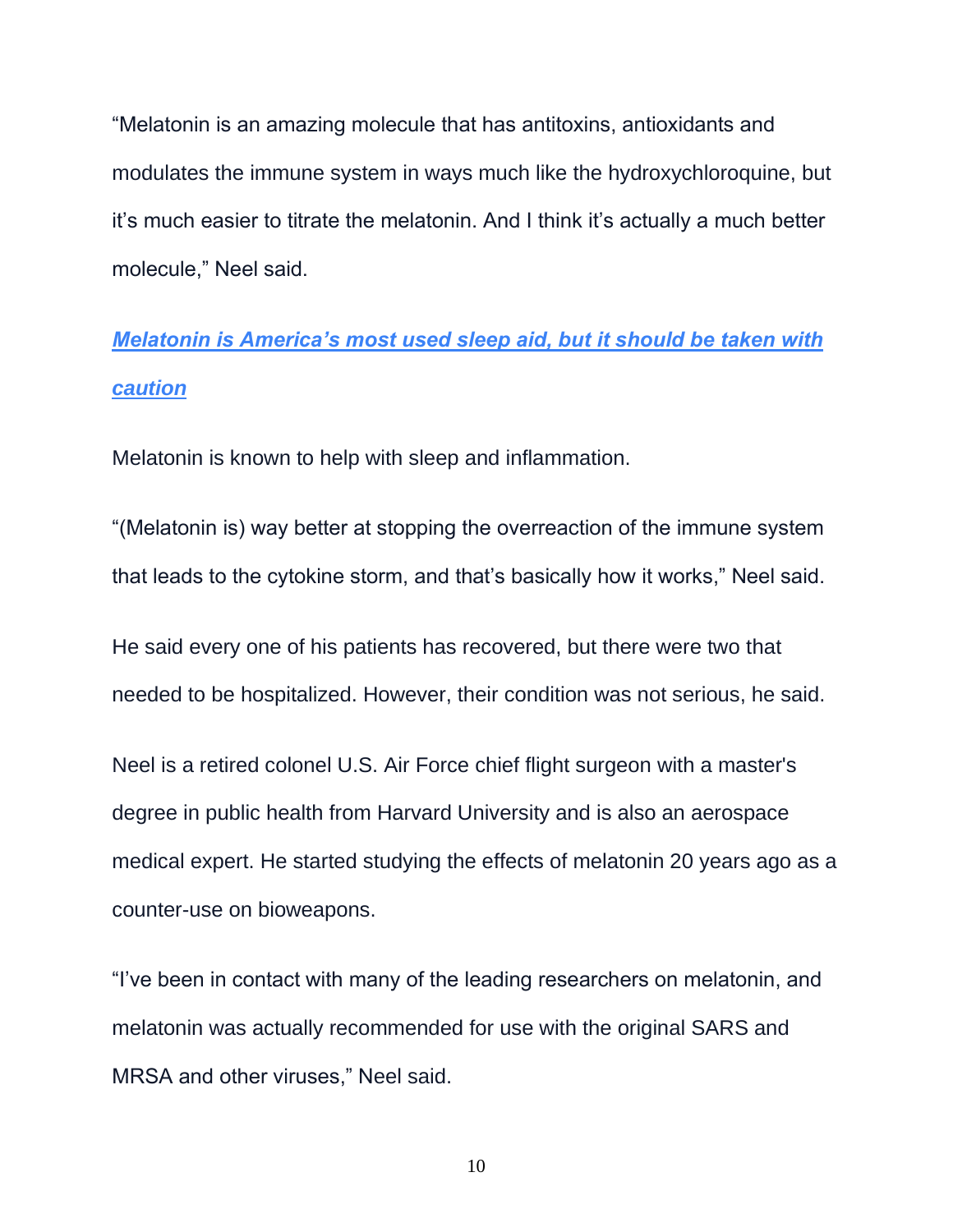"Melatonin is an amazing molecule that has antitoxins, antioxidants and modulates the immune system in ways much like the hydroxychloroquine, but it's much easier to titrate the melatonin. And I think it's actually a much better molecule," Neel said.

## *[Melatonin is America's most used sleep aid, but it should be taken with](https://www.ksat.com/health/2019/11/08/melatonin-is-americas-most-used-sleep-aid-but-it-should-be-taken-with-caution/)  [caution](https://www.ksat.com/health/2019/11/08/melatonin-is-americas-most-used-sleep-aid-but-it-should-be-taken-with-caution/)*

Melatonin is known to help with sleep and inflammation.

"(Melatonin is) way better at stopping the overreaction of the immune system that leads to the cytokine storm, and that's basically how it works," Neel said.

He said every one of his patients has recovered, but there were two that needed to be hospitalized. However, their condition was not serious, he said.

Neel is a retired colonel U.S. Air Force chief flight surgeon with a master's degree in public health from Harvard University and is also an aerospace medical expert. He started studying the effects of melatonin 20 years ago as a counter-use on bioweapons.

"I've been in contact with many of the leading researchers on melatonin, and melatonin was actually recommended for use with the original SARS and MRSA and other viruses," Neel said.